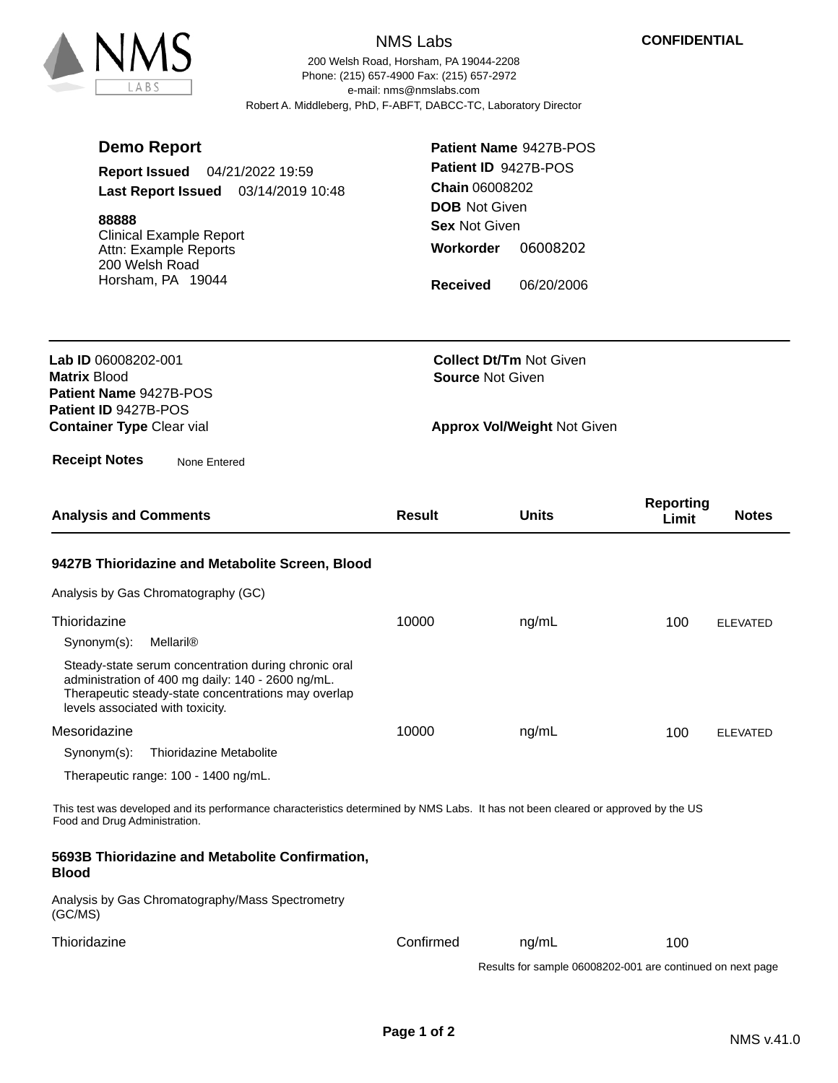

## NMS Labs

200 Welsh Road, Horsham, PA 19044-2208 e-mail: nms@nmslabs.com Robert A. Middleberg, PhD, F-ABFT, DABCC-TC, Laboratory Director Phone: (215) 657-4900 Fax: (215) 657-2972

| <b>Demo Report</b><br><b>Report Issued</b><br>04/21/2022 19:59<br>Last Report Issued 03/14/2019 10:48<br>88888<br><b>Clinical Example Report</b><br>Attn: Example Reports<br>200 Welsh Road<br>Horsham, PA 19044                                           | Patient ID 9427B-POS<br><b>Chain 06008202</b><br><b>DOB</b> Not Given<br><b>Sex Not Given</b><br>Workorder<br><b>Received</b> | Patient Name 9427B-POS<br>06008202<br>06/20/2006                                                |                           |                 |
|------------------------------------------------------------------------------------------------------------------------------------------------------------------------------------------------------------------------------------------------------------|-------------------------------------------------------------------------------------------------------------------------------|-------------------------------------------------------------------------------------------------|---------------------------|-----------------|
| Lab ID 06008202-001<br><b>Matrix Blood</b><br>Patient Name 9427B-POS<br>Patient ID 9427B-POS<br><b>Container Type Clear vial</b><br><b>Receipt Notes</b><br>None Entered                                                                                   |                                                                                                                               | <b>Collect Dt/Tm Not Given</b><br><b>Source Not Given</b><br><b>Approx Vol/Weight Not Given</b> |                           |                 |
| <b>Analysis and Comments</b>                                                                                                                                                                                                                               | <b>Result</b>                                                                                                                 | <b>Units</b>                                                                                    | <b>Reporting</b><br>Limit | <b>Notes</b>    |
| 9427B Thioridazine and Metabolite Screen, Blood<br>Analysis by Gas Chromatography (GC)                                                                                                                                                                     |                                                                                                                               |                                                                                                 |                           |                 |
| Thioridazine<br><b>Mellaril®</b><br>$Symonym(s)$ :<br>Steady-state serum concentration during chronic oral<br>administration of 400 mg daily: 140 - 2600 ng/mL.<br>Therapeutic steady-state concentrations may overlap<br>levels associated with toxicity. | 10000                                                                                                                         | ng/mL                                                                                           | 100                       | <b>ELEVATED</b> |
| Mesoridazine<br>Synonym(s):<br>Thioridazine Metabolite<br>Therapeutic range: 100 - 1400 ng/mL.                                                                                                                                                             | 10000                                                                                                                         | ng/mL                                                                                           | 100                       | <b>ELEVATED</b> |
| This test was developed and its performance characteristics determined by NMS Labs. It has not been cleared or approved by the US<br>Food and Drug Administration.<br>5693B Thioridazine and Metabolite Confirmation,                                      |                                                                                                                               |                                                                                                 |                           |                 |
| <b>Blood</b><br>Analysis by Gas Chromatography/Mass Spectrometry<br>(GC/MS)                                                                                                                                                                                |                                                                                                                               |                                                                                                 |                           |                 |
| Thioridazine                                                                                                                                                                                                                                               | Confirmed                                                                                                                     | ng/mL                                                                                           | 100                       |                 |

Results for sample 06008202-001 are continued on next page